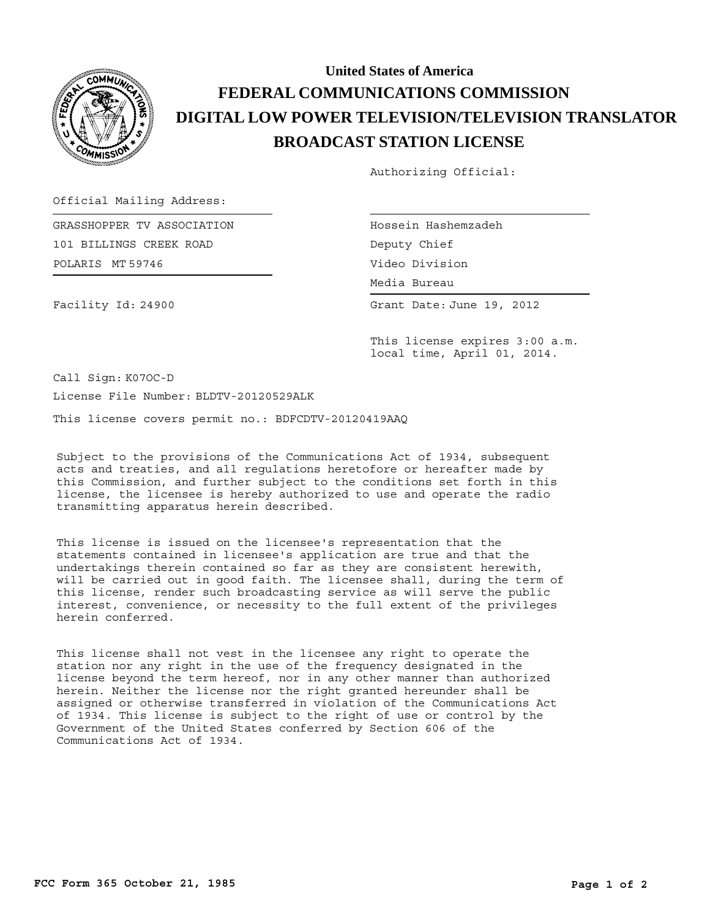

## **BROADCAST STATION LICENSE DIGITAL LOW POWER TELEVISION/TELEVISION TRANSLATOR FEDERAL COMMUNICATIONS COMMISSION United States of America**

Authorizing Official:

Official Mailing Address:

POLARIS MT 59746 GRASSHOPPER TV ASSOCIATION 101 BILLINGS CREEK ROAD

Hossein Hashemzadeh Deputy Chief Video Division

Media Bureau Media Bureau

Grant Date: June 19, 2012

Facility Id: 24900

This license expires 3:00 a.m. local time, April 01, 2014.

Call Sign: K07OC-D License File Number: BLDTV-20120529ALK

This license covers permit no.: BDFCDTV-20120419AAQ

Subject to the provisions of the Communications Act of 1934, subsequent acts and treaties, and all regulations heretofore or hereafter made by this Commission, and further subject to the conditions set forth in this license, the licensee is hereby authorized to use and operate the radio transmitting apparatus herein described.

This license is issued on the licensee's representation that the statements contained in licensee's application are true and that the undertakings therein contained so far as they are consistent herewith, will be carried out in good faith. The licensee shall, during the term of this license, render such broadcasting service as will serve the public interest, convenience, or necessity to the full extent of the privileges herein conferred.

This license shall not vest in the licensee any right to operate the station nor any right in the use of the frequency designated in the license beyond the term hereof, nor in any other manner than authorized herein. Neither the license nor the right granted hereunder shall be assigned or otherwise transferred in violation of the Communications Act of 1934. This license is subject to the right of use or control by the Government of the United States conferred by Section 606 of the Communications Act of 1934.